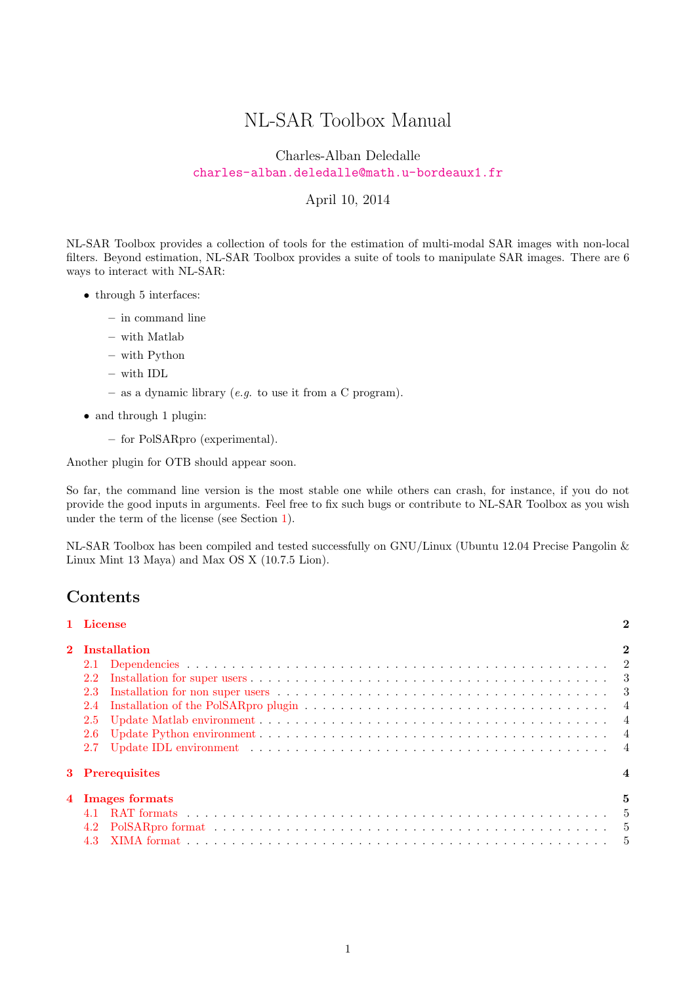# NL-SAR Toolbox Manual

Charles-Alban Deledalle <charles-alban.deledalle@math.u-bordeaux1.fr>

#### April 10, 2014

NL-SAR Toolbox provides a collection of tools for the estimation of multi-modal SAR images with non-local filters. Beyond estimation, NL-SAR Toolbox provides a suite of tools to manipulate SAR images. There are 6 ways to interact with NL-SAR:

- through 5 interfaces:
	- in command line
	- with Matlab
	- with Python
	- with IDL
	- as a dynamic library (*e.g.* to use it from a C program).
- and through 1 plugin:
	- for PolSARpro (experimental).

Another plugin for OTB should appear soon.

So far, the command line version is the most stable one while others can crash, for instance, if you do not provide the good inputs in arguments. Feel free to fix such bugs or contribute to NL-SAR Toolbox as you wish under the term of the license (see Section [1\)](#page-1-0).

NL-SAR Toolbox has been compiled and tested successfully on GNU/Linux (Ubuntu 12.04 Precise Pangolin & Linux Mint 13 Maya) and Max OS X (10.7.5 Lion).

## Contents

| 1 License      |                                                                                                                                    |   |  |  |
|----------------|------------------------------------------------------------------------------------------------------------------------------------|---|--|--|
| 2 Installation |                                                                                                                                    |   |  |  |
|                |                                                                                                                                    |   |  |  |
| 2.2            |                                                                                                                                    |   |  |  |
| 2.3            | Installation for non super users $\dots \dots \dots \dots \dots \dots \dots \dots \dots \dots \dots \dots \dots \dots \dots \dots$ |   |  |  |
| 2.4            |                                                                                                                                    |   |  |  |
| 2.5            |                                                                                                                                    |   |  |  |
| 2.6            |                                                                                                                                    |   |  |  |
| 2.7            |                                                                                                                                    |   |  |  |
|                | 3 Prerequisites                                                                                                                    |   |  |  |
|                | 4 Images formats                                                                                                                   | 5 |  |  |
|                |                                                                                                                                    |   |  |  |
|                |                                                                                                                                    |   |  |  |
|                |                                                                                                                                    |   |  |  |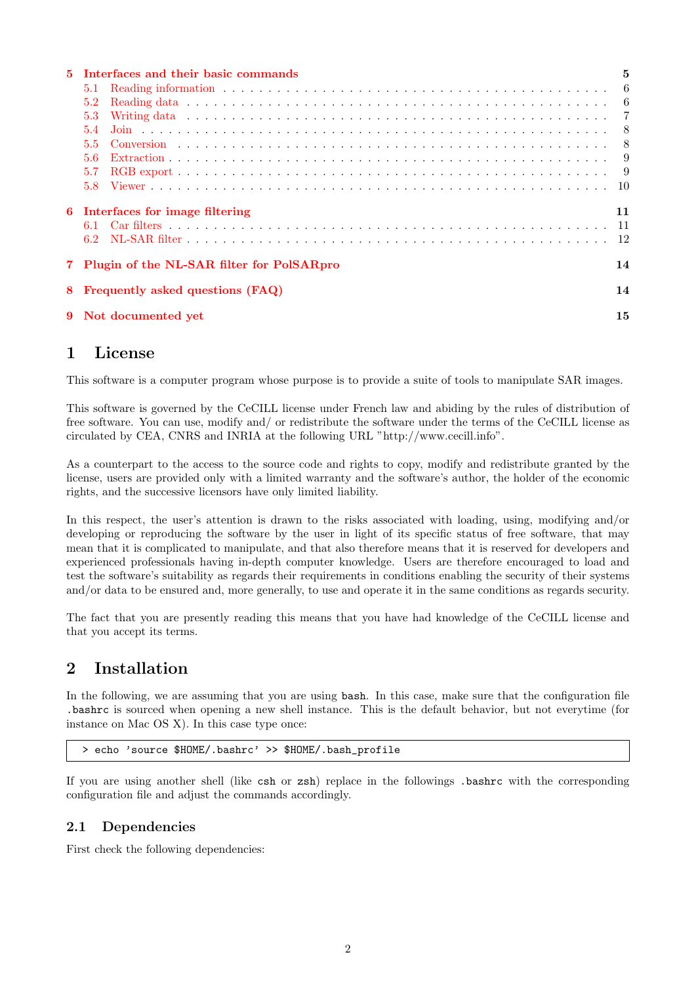| 5 | Interfaces and their basic commands             | 5   |  |  |
|---|-------------------------------------------------|-----|--|--|
|   | 5.1                                             |     |  |  |
|   | 5.2                                             | - 6 |  |  |
|   | 5.3                                             |     |  |  |
|   | 5.4                                             |     |  |  |
|   | 5.5                                             |     |  |  |
|   | 5.6                                             |     |  |  |
|   | 5.7                                             |     |  |  |
|   | 5.8                                             |     |  |  |
| 6 | Interfaces for image filtering                  | 11  |  |  |
|   | 61                                              |     |  |  |
|   |                                                 | -12 |  |  |
|   | Plugin of the NL-SAR filter for PolSARpro<br>14 |     |  |  |
| 8 | Frequently asked questions (FAQ)<br>14          |     |  |  |
| 9 | 15<br>Not documented yet                        |     |  |  |

# <span id="page-1-0"></span>1 License

This software is a computer program whose purpose is to provide a suite of tools to manipulate SAR images.

This software is governed by the CeCILL license under French law and abiding by the rules of distribution of free software. You can use, modify and/ or redistribute the software under the terms of the CeCILL license as circulated by CEA, CNRS and INRIA at the following URL "http://www.cecill.info".

As a counterpart to the access to the source code and rights to copy, modify and redistribute granted by the license, users are provided only with a limited warranty and the software's author, the holder of the economic rights, and the successive licensors have only limited liability.

In this respect, the user's attention is drawn to the risks associated with loading, using, modifying and/or developing or reproducing the software by the user in light of its specific status of free software, that may mean that it is complicated to manipulate, and that also therefore means that it is reserved for developers and experienced professionals having in-depth computer knowledge. Users are therefore encouraged to load and test the software's suitability as regards their requirements in conditions enabling the security of their systems and/or data to be ensured and, more generally, to use and operate it in the same conditions as regards security.

The fact that you are presently reading this means that you have had knowledge of the CeCILL license and that you accept its terms.

# <span id="page-1-1"></span>2 Installation

In the following, we are assuming that you are using bash. In this case, make sure that the configuration file .bashrc is sourced when opening a new shell instance. This is the default behavior, but not everytime (for instance on Mac OS X). In this case type once:

> echo 'source \$HOME/.bashrc' >> \$HOME/.bash\_profile

If you are using another shell (like csh or zsh) replace in the followings .bashrc with the corresponding configuration file and adjust the commands accordingly.

## <span id="page-1-2"></span>2.1 Dependencies

First check the following dependencies: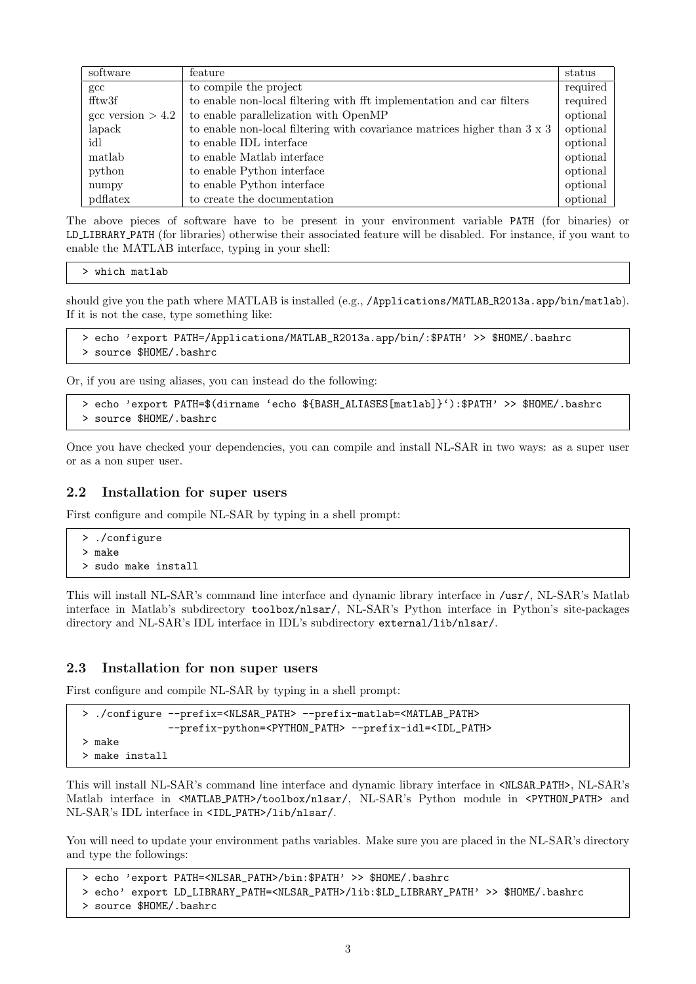| software                   | feature                                                                         | status   |
|----------------------------|---------------------------------------------------------------------------------|----------|
| $_{\rm gcc}$               | to compile the project                                                          | required |
| fftw3f                     | to enable non-local filtering with fft implementation and car filters           | required |
| $\text{gcc version} > 4.2$ | to enable parallelization with OpenMP                                           | optional |
| lapack                     | to enable non-local filtering with covariance matrices higher than $3 \times 3$ | optional |
| idl                        | to enable IDL interface                                                         | optional |
| matlab                     | to enable Matlab interface                                                      | optional |
| python                     | to enable Python interface                                                      | optional |
| numpy                      | to enable Python interface                                                      | optional |
| pdflatex                   | to create the documentation                                                     | optional |

The above pieces of software have to be present in your environment variable PATH (for binaries) or LD LIBRARY PATH (for libraries) otherwise their associated feature will be disabled. For instance, if you want to enable the MATLAB interface, typing in your shell:

```
> which matlab
```
should give you the path where MATLAB is installed (e.g., /Applications/MATLAB\_R2013a.app/bin/matlab). If it is not the case, type something like:

```
> echo 'export PATH=/Applications/MATLAB_R2013a.app/bin/:$PATH' >> $HOME/.bashrc
> source $HOME/.bashrc
```
Or, if you are using aliases, you can instead do the following:

```
> echo 'export PATH=$(dirname 'echo ${BASH_ALIASES[matlab]}'):$PATH' >> $HOME/.bashrc
> source $HOME/.bashrc
```
Once you have checked your dependencies, you can compile and install NL-SAR in two ways: as a super user or as a non super user.

#### <span id="page-2-0"></span>2.2 Installation for super users

First configure and compile NL-SAR by typing in a shell prompt:

```
> ./configure
> make
> sudo make install
```
This will install NL-SAR's command line interface and dynamic library interface in /usr/, NL-SAR's Matlab interface in Matlab's subdirectory toolbox/nlsar/, NL-SAR's Python interface in Python's site-packages directory and NL-SAR's IDL interface in IDL's subdirectory external/lib/nlsar/.

#### <span id="page-2-1"></span>2.3 Installation for non super users

First configure and compile NL-SAR by typing in a shell prompt:

```
> ./configure --prefix=<NLSAR_PATH> --prefix-matlab=<MATLAB_PATH>
              --prefix-python=<PYTHON_PATH> --prefix-idl=<IDL_PATH>
> make
> make install
```
This will install NL-SAR's command line interface and dynamic library interface in <NLSAR PATH>, NL-SAR's Matlab interface in <MATLAB PATH>/toolbox/nlsar/, NL-SAR's Python module in <PYTHON PATH> and NL-SAR's IDL interface in <IDL PATH>/lib/nlsar/.

You will need to update your environment paths variables. Make sure you are placed in the NL-SAR's directory and type the followings:

```
> echo 'export PATH=<NLSAR_PATH>/bin:$PATH' >> $HOME/.bashrc
> echo' export LD_LIBRARY_PATH=<NLSAR_PATH>/lib:$LD_LIBRARY_PATH' >> $HOME/.bashrc
> source $HOME/.bashrc
```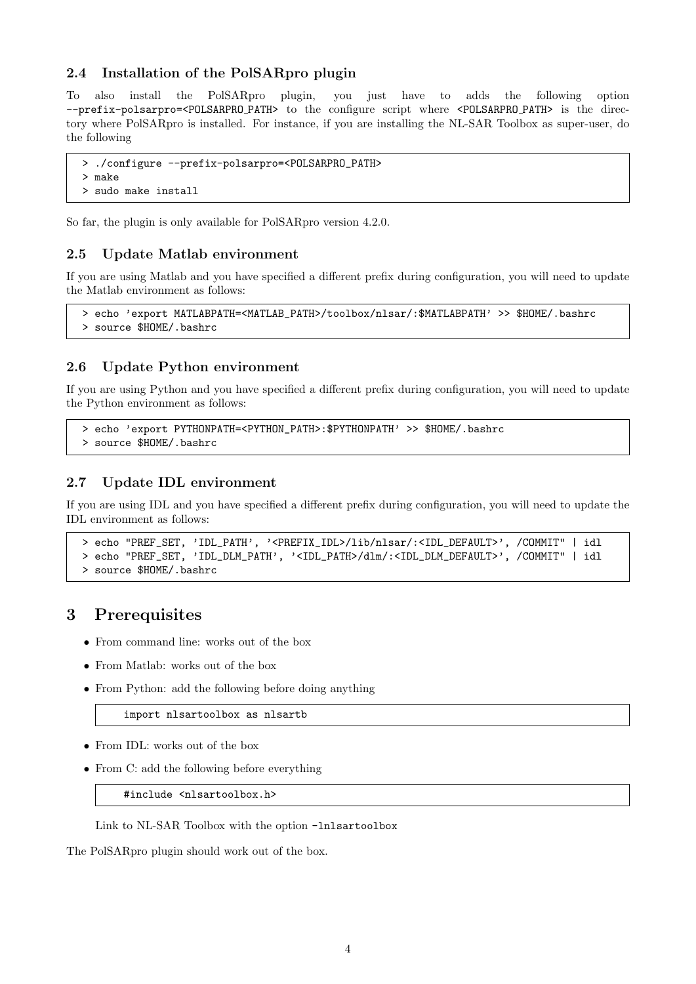### <span id="page-3-0"></span>2.4 Installation of the PolSARpro plugin

To also install the PolSARpro plugin, you just have to adds the following option --prefix-polsarpro=<POLSARPRO PATH> to the configure script where <POLSARPRO PATH> is the directory where PolSARpro is installed. For instance, if you are installing the NL-SAR Toolbox as super-user, do the following

```
> ./configure --prefix-polsarpro=<POLSARPRO_PATH>
> make
> sudo make install
```
So far, the plugin is only available for PolSARpro version 4.2.0.

## <span id="page-3-1"></span>2.5 Update Matlab environment

If you are using Matlab and you have specified a different prefix during configuration, you will need to update the Matlab environment as follows:

```
> echo 'export MATLABPATH=<MATLAB_PATH>/toolbox/nlsar/:$MATLABPATH' >> $HOME/.bashrc
> source $HOME/.bashrc
```
#### <span id="page-3-2"></span>2.6 Update Python environment

If you are using Python and you have specified a different prefix during configuration, you will need to update the Python environment as follows:

```
> echo 'export PYTHONPATH=<PYTHON_PATH>:$PYTHONPATH' >> $HOME/.bashrc
```

```
> source $HOME/.bashrc
```
#### <span id="page-3-3"></span>2.7 Update IDL environment

If you are using IDL and you have specified a different prefix during configuration, you will need to update the IDL environment as follows:

```
> echo "PREF_SET, 'IDL_PATH', '<PREFIX_IDL>/lib/nlsar/:<IDL_DEFAULT>', /COMMIT" | idl
> echo "PREF_SET, 'IDL_DLM_PATH', '<IDL_PATH>/dlm/:<IDL_DLM_DEFAULT>', /COMMIT" | idl
> source $HOME/.bashrc
```
## <span id="page-3-4"></span>3 Prerequisites

- From command line: works out of the box
- From Matlab: works out of the box
- From Python: add the following before doing anything

import nlsartoolbox as nlsartb

- From IDL: works out of the box
- From C: add the following before everything

#include <nlsartoolbox.h>

Link to NL-SAR Toolbox with the option -lnlsartoolbox

The PolSARpro plugin should work out of the box.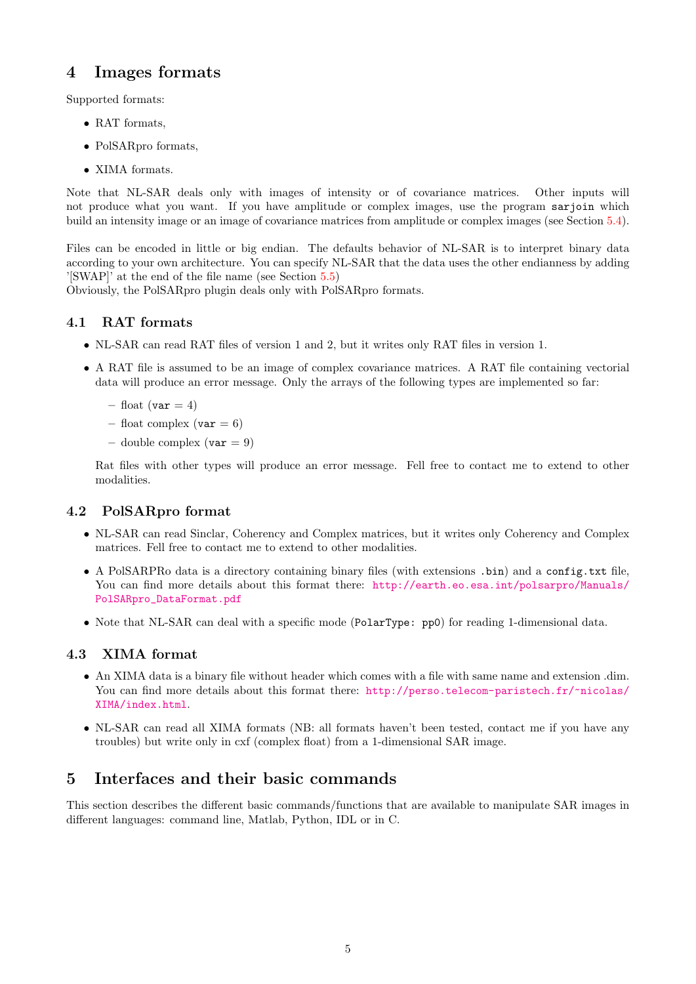## <span id="page-4-0"></span>4 Images formats

Supported formats:

- RAT formats,
- PolSARpro formats,
- XIMA formats.

Note that NL-SAR deals only with images of intensity or of covariance matrices. Other inputs will not produce what you want. If you have amplitude or complex images, use the program sarjoin which build an intensity image or an image of covariance matrices from amplitude or complex images (see Section [5.4\)](#page-7-0).

Files can be encoded in little or big endian. The defaults behavior of NL-SAR is to interpret binary data according to your own architecture. You can specify NL-SAR that the data uses the other endianness by adding '[SWAP]' at the end of the file name (see Section [5.5\)](#page-7-1)

Obviously, the PolSARpro plugin deals only with PolSARpro formats.

## <span id="page-4-1"></span>4.1 RAT formats

- NL-SAR can read RAT files of version 1 and 2, but it writes only RAT files in version 1.
- A RAT file is assumed to be an image of complex covariance matrices. A RAT file containing vectorial data will produce an error message. Only the arrays of the following types are implemented so far:
	- float (var  $= 4$ )
	- float complex ( $var = 6$ )
	- double complex  $(\text{var} = 9)$

Rat files with other types will produce an error message. Fell free to contact me to extend to other modalities.

### <span id="page-4-2"></span>4.2 PolSARpro format

- NL-SAR can read Sinclar, Coherency and Complex matrices, but it writes only Coherency and Complex matrices. Fell free to contact me to extend to other modalities.
- A PolSARPRo data is a directory containing binary files (with extensions .bin) and a config.txt file, You can find more details about this format there: [http://earth.eo.esa.int/polsarpro/Manuals/](http://earth.eo.esa.int/polsarpro/Manuals/PolSARpro_DataFormat.pdf) [PolSARpro\\_DataFormat.pdf](http://earth.eo.esa.int/polsarpro/Manuals/PolSARpro_DataFormat.pdf)
- Note that NL-SAR can deal with a specific mode (PolarType: pp0) for reading 1-dimensional data.

#### <span id="page-4-3"></span>4.3 XIMA format

- An XIMA data is a binary file without header which comes with a file with same name and extension .dim. You can find more details about this format there: [http://perso.telecom-paristech.fr/~nicolas/](http://perso.telecom-paristech.fr/~nicolas/XIMA/index.html) [XIMA/index.html](http://perso.telecom-paristech.fr/~nicolas/XIMA/index.html).
- NL-SAR can read all XIMA formats (NB: all formats haven't been tested, contact me if you have any troubles) but write only in cxf (complex float) from a 1-dimensional SAR image.

## <span id="page-4-4"></span>5 Interfaces and their basic commands

This section describes the different basic commands/functions that are available to manipulate SAR images in different languages: command line, Matlab, Python, IDL or in C.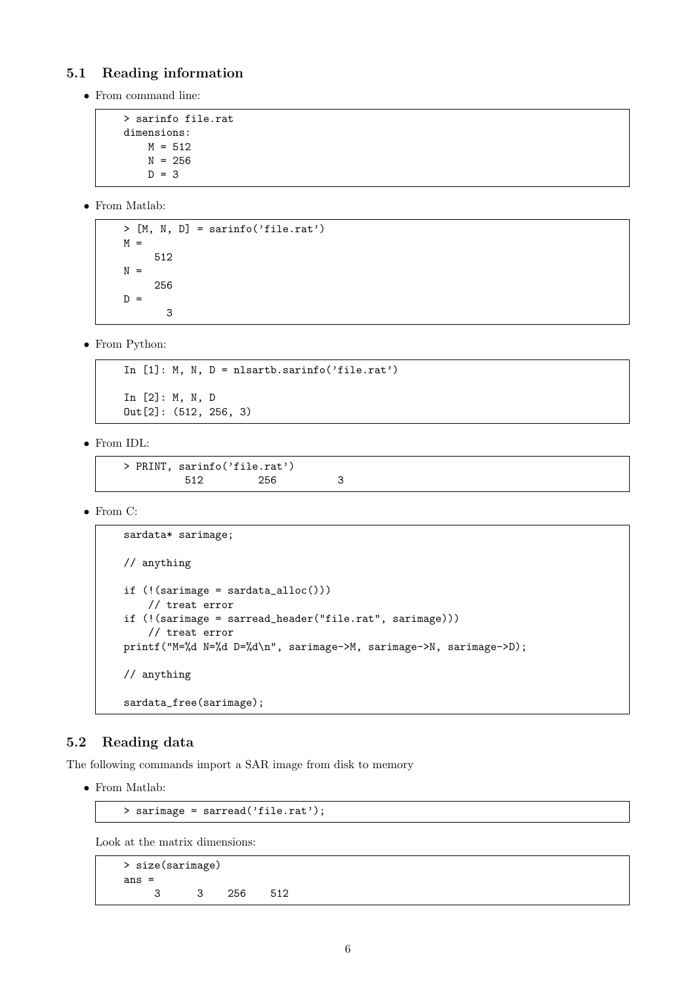## <span id="page-5-0"></span>5.1 Reading information

• From command line:

```
> sarinfo file.rat
dimensions:
   M = 512N = 256D = 3
```
• From Matlab:

 $>$  [M, N, D] = sarinfo('file.rat')  $M =$ 512  $N =$ 256  $D =$ 3

• From Python:

```
In [1]: M, N, D = nlsartb.sarinfo('file.rat')
In [2]: M, N, D
Out[2]: (512, 256, 3)
```
• From IDL:

```
> PRINT, sarinfo('file.rat')
      512 256 3
```
• From C:

```
sardata* sarimage;
// anything
if (!(sarimage = sardata_alloc()))
    // treat error
if (!(sarimage = sarread_header("file.rat", sarimage)))
    // treat error
printf("M=%d N=%d D=%d\n", sarimage->M, sarimage->N, sarimage->D);
// anything
sardata_free(sarimage);
```
## <span id="page-5-1"></span>5.2 Reading data

The following commands import a SAR image from disk to memory

• From Matlab:

```
> sarimage = sarread('file.rat');
```
Look at the matrix dimensions:

> size(sarimage) ans  $=$ 3 3 256 512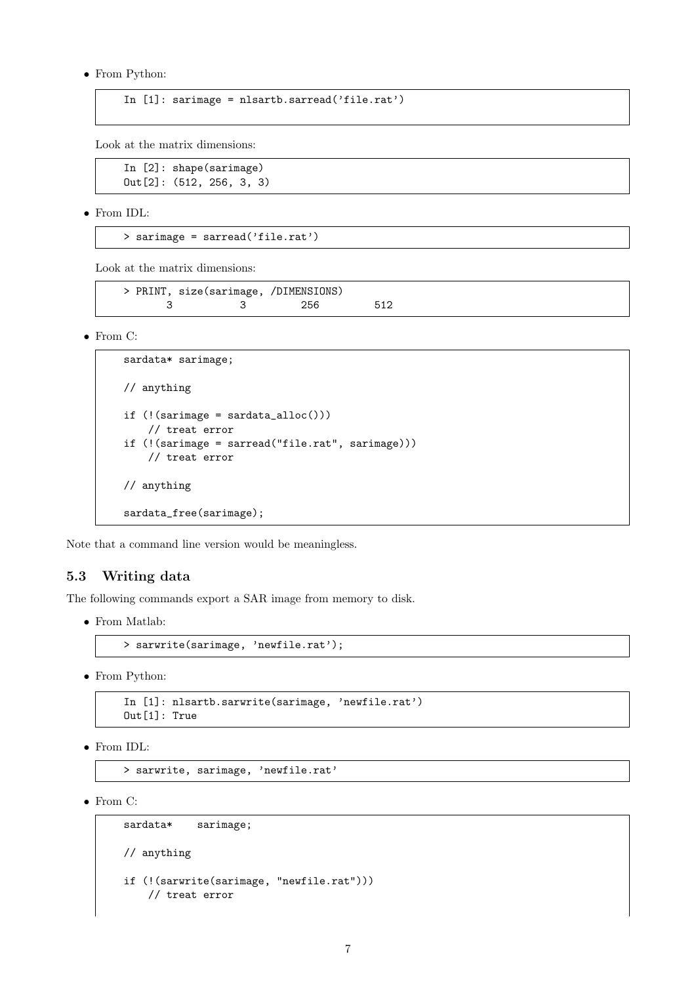• From Python:

```
In [1]: sarimage = nlsartb.sarread('file.rat')
```
Look at the matrix dimensions:

In [2]: shape(sarimage) Out[2]: (512, 256, 3, 3)

• From IDL:

```
> sarimage = sarread('file.rat')
```
Look at the matrix dimensions:

```
> PRINT, size(sarimage, /DIMENSIONS)
    3 3 256 512
```
• From C:

```
sardata* sarimage;
// anything
if (!(sarimage = sardata_alloc()))
   // treat error
if (!(sarimage = sarread("file.rat", sarimage)))
    // treat error
// anything
sardata_free(sarimage);
```
Note that a command line version would be meaningless.

### <span id="page-6-0"></span>5.3 Writing data

The following commands export a SAR image from memory to disk.

• From Matlab:

```
> sarwrite(sarimage, 'newfile.rat');
```
• From Python:

In [1]: nlsartb.sarwrite(sarimage, 'newfile.rat') Out[1]: True

• From IDL:

> sarwrite, sarimage, 'newfile.rat'

• From C:

```
sardata* sarimage;
// anything
if (!(sarwrite(sarimage, "newfile.rat")))
   // treat error
```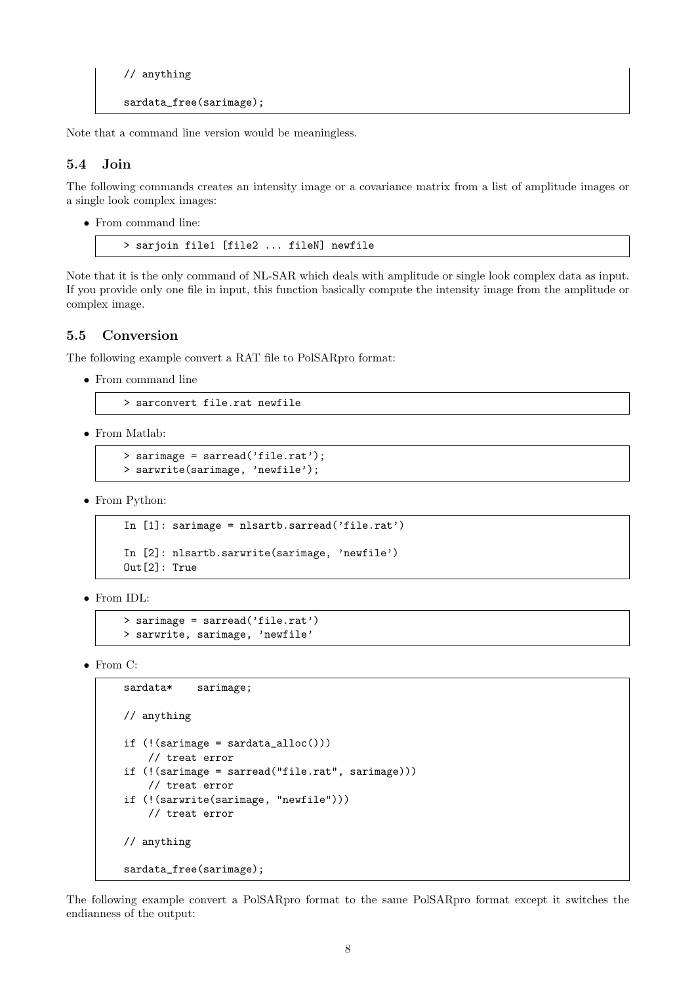```
// anything
sardata_free(sarimage);
```
Note that a command line version would be meaningless.

## <span id="page-7-0"></span>5.4 Join

The following commands creates an intensity image or a covariance matrix from a list of amplitude images or a single look complex images:

• From command line:

```
> sarjoin file1 [file2 ... fileN] newfile
```
Note that it is the only command of NL-SAR which deals with amplitude or single look complex data as input. If you provide only one file in input, this function basically compute the intensity image from the amplitude or complex image.

## <span id="page-7-1"></span>5.5 Conversion

The following example convert a RAT file to PolSARpro format:

• From command line

```
> sarconvert file.rat newfile
```
• From Matlab:

```
> sarimage = sarread('file.rat');
> sarwrite(sarimage, 'newfile');
```
• From Python:

```
In [1]: sarimage = nlsartb.sarread('file.rat')
In [2]: nlsartb.sarwrite(sarimage, 'newfile')
Out[2]: True
```
• From IDL:

```
> sarimage = sarread('file.rat')
> sarwrite, sarimage, 'newfile'
```
• From C:

```
sardata* sarimage;
// anything
if (!(sariance = sardata_alloc())// treat error
if (!(sarimage = sarread("file.rat", sarimage)))
    // treat error
if (!(sarwrite(sarimage, "newfile")))
    // treat error
// anything
sardata_free(sarimage);
```
The following example convert a PolSARpro format to the same PolSARpro format except it switches the endianness of the output: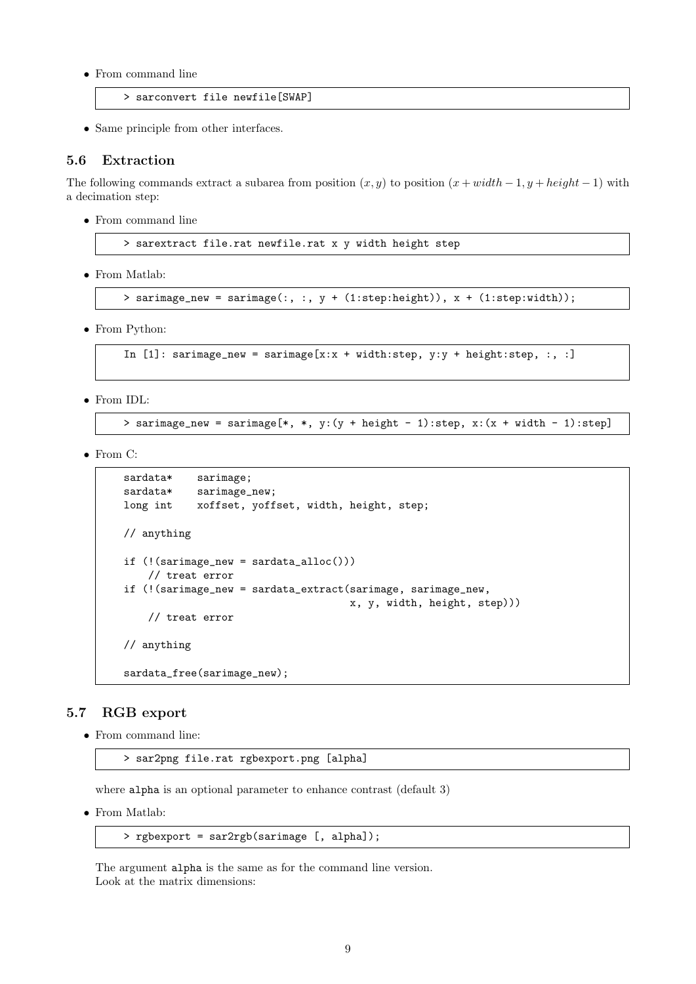• From command line

> sarconvert file newfile[SWAP]

• Same principle from other interfaces.

### <span id="page-8-0"></span>5.6 Extraction

The following commands extract a subarea from position  $(x, y)$  to position  $(x + width - 1, y + height - 1)$  with a decimation step:

• From command line

> sarextract file.rat newfile.rat x y width height step

• From Matlab:

> sarimage\_new = sarimage(:, :, y + (1:step:height)), x + (1:step:width));

• From Python:

```
In [1]: sarimage_new = sarimage[x:x + width:step, y:y + height:step, :, :]
```
• From IDL:

> sarimage\_new = sarimage[\*, \*, y:(y + height - 1):step, x:(x + width - 1):step]

• From C:

```
sardata* sarimage;
sardata* sarimage_new;
long int xoffset, yoffset, width, height, step;
// anything
if (!(sarimage_new = sardata_alloc()))
    // treat error
if (!(sarimage_new = sardata_extract(sarimage, sarimage_new,
                                    x, y, width, height, step)))
    // treat error
// anything
sardata_free(sarimage_new);
```
#### <span id="page-8-1"></span>5.7 RGB export

• From command line:

> sar2png file.rat rgbexport.png [alpha]

where alpha is an optional parameter to enhance contrast (default 3)

• From Matlab:

```
> rgbexport = sar2rgb(sarimage [, alpha]);
```
The argument alpha is the same as for the command line version. Look at the matrix dimensions: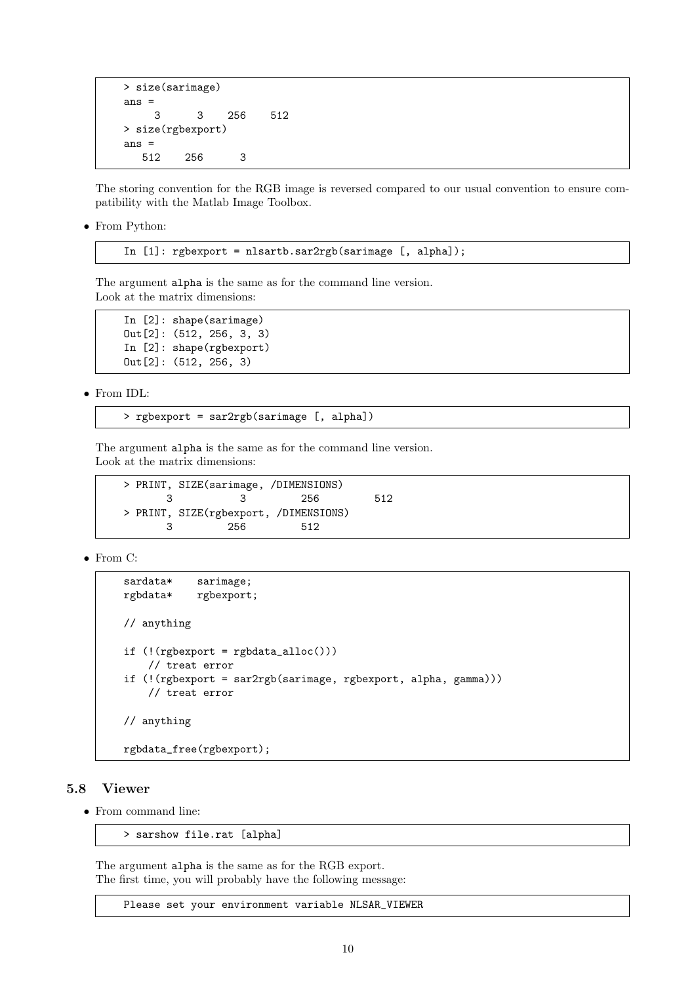```
> size(sarimage)
ans =
    3 3 256 512
> size(rgbexport)
ans =
  512 256 3
```
The storing convention for the RGB image is reversed compared to our usual convention to ensure compatibility with the Matlab Image Toolbox.

• From Python:

In [1]: rgbexport = nlsartb.sar2rgb(sarimage [, alpha]);

The argument alpha is the same as for the command line version. Look at the matrix dimensions:

In [2]: shape(sarimage) Out[2]: (512, 256, 3, 3) In [2]: shape(rgbexport) Out[2]: (512, 256, 3)

• From IDL:

> rgbexport = sar2rgb(sarimage [, alpha])

The argument alpha is the same as for the command line version. Look at the matrix dimensions:

> PRINT, SIZE(sarimage, /DIMENSIONS) 3 3 256 512 > PRINT, SIZE(rgbexport, /DIMENSIONS) 3 256 512

• From C:

```
sardata* sarimage;
rgbdata* rgbexport;
// anything
if (!(\text{rgbexport} = \text{rgbdata_alloc}())// treat error
if (!(rgbexport = sar2rgb(sarimage, rgbexport, alpha, gamma)))
    // treat error
// anything
rgbdata_free(rgbexport);
```
## <span id="page-9-0"></span>5.8 Viewer

• From command line:

> sarshow file.rat [alpha]

The argument alpha is the same as for the RGB export. The first time, you will probably have the following message:

Please set your environment variable NLSAR\_VIEWER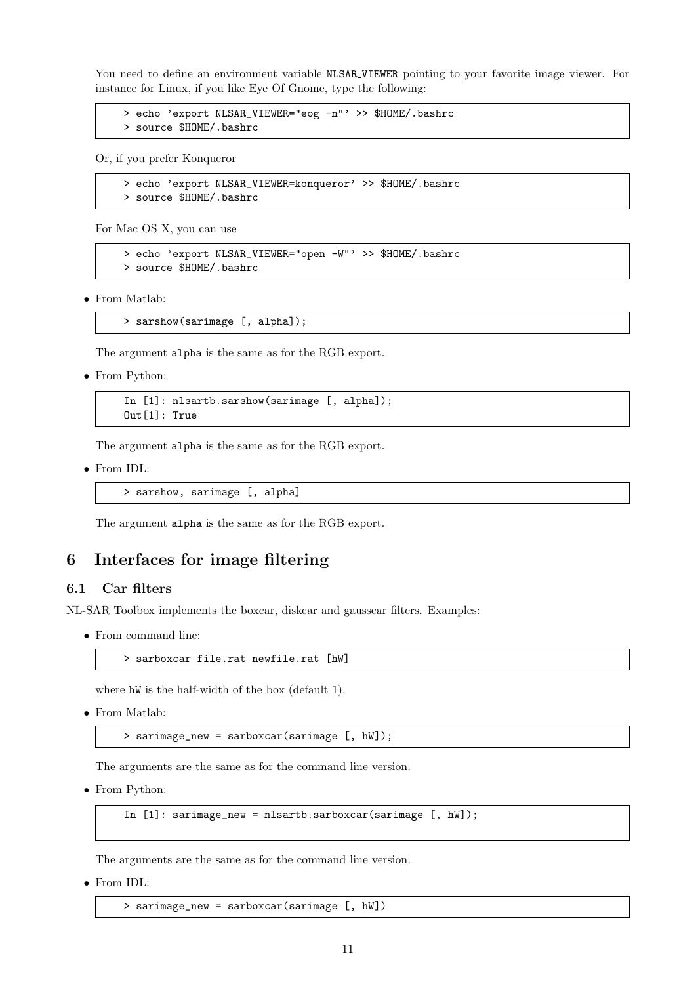You need to define an environment variable NLSAR\_VIEWER pointing to your favorite image viewer. For instance for Linux, if you like Eye Of Gnome, type the following:

> echo 'export NLSAR\_VIEWER="eog -n"' >> \$HOME/.bashrc > source \$HOME/.bashrc

Or, if you prefer Konqueror

```
> echo 'export NLSAR_VIEWER=konqueror' >> $HOME/.bashrc
> source $HOME/.bashrc
```
For Mac OS X, you can use

```
> echo 'export NLSAR_VIEWER="open -W"' >> $HOME/.bashrc
> source $HOME/.bashrc
```
• From Matlab:

```
> sarshow(sarimage [, alpha]);
```
The argument alpha is the same as for the RGB export.

• From Python:

In [1]: nlsartb.sarshow(sarimage [, alpha]); Out[1]: True

The argument alpha is the same as for the RGB export.

• From IDL:

> sarshow, sarimage [, alpha]

The argument alpha is the same as for the RGB export.

## <span id="page-10-0"></span>6 Interfaces for image filtering

#### <span id="page-10-1"></span>6.1 Car filters

NL-SAR Toolbox implements the boxcar, diskcar and gausscar filters. Examples:

• From command line:

```
> sarboxcar file.rat newfile.rat [hW]
```
where  $hW$  is the half-width of the box (default 1).

• From Matlab:

> sarimage\_new = sarboxcar(sarimage [, hW]);

The arguments are the same as for the command line version.

• From Python:

In [1]: sarimage\_new = nlsartb.sarboxcar(sarimage [, hW]);

The arguments are the same as for the command line version.

• From IDL:

> sarimage\_new = sarboxcar(sarimage [, hW])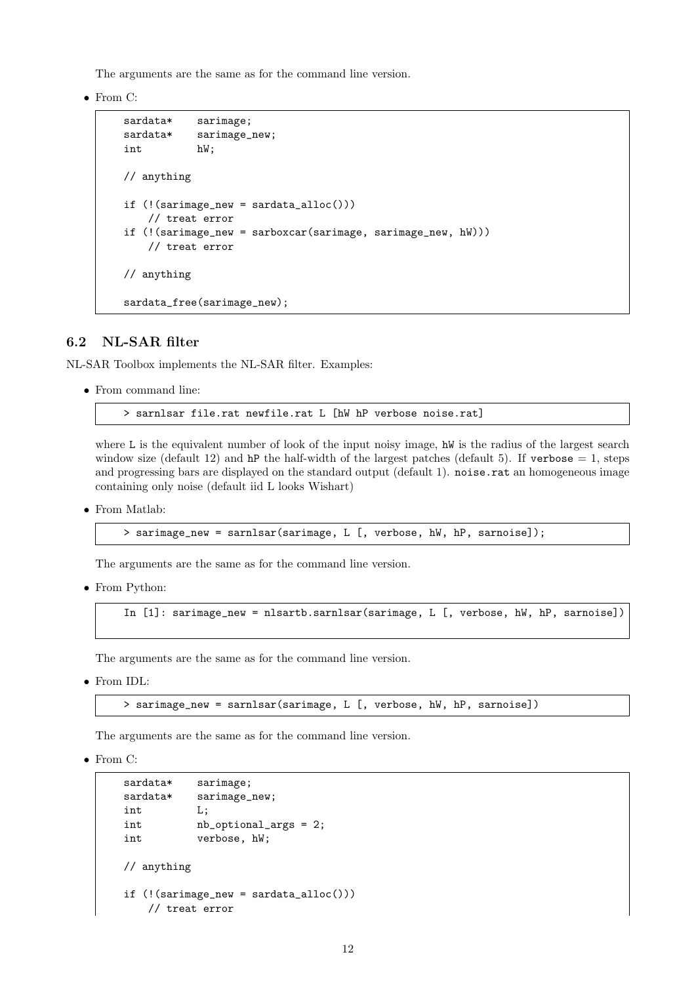The arguments are the same as for the command line version.

• From C:

```
sardata* sarimage;
sardata* sarimage_new;
int hW;
// anything
if (!(sariance_new = sardata_alloc())// treat error
if (!(sarimage_new = sarboxcar(sarimage, sarimage_new, hW)))
   // treat error
// anything
sardata_free(sarimage_new);
```
### <span id="page-11-0"></span>6.2 NL-SAR filter

NL-SAR Toolbox implements the NL-SAR filter. Examples:

• From command line:

> sarnlsar file.rat newfile.rat L [hW hP verbose noise.rat]

where L is the equivalent number of look of the input noisy image, hW is the radius of the largest search window size (default 12) and hP the half-width of the largest patches (default 5). If verbose  $= 1$ , steps and progressing bars are displayed on the standard output (default 1). noise rat an homogeneous image containing only noise (default iid L looks Wishart)

• From Matlab:

```
> sarimage_new = sarnlsar(sarimage, L [, verbose, hW, hP, sarnoise]);
```
The arguments are the same as for the command line version.

• From Python:

```
In [1]: sarimage_new = nlsartb.sarnlsar(sarimage, L [, verbose, hW, hP, sarnoise])
```
The arguments are the same as for the command line version.

• From IDL:

> sarimage\_new = sarnlsar(sarimage, L [, verbose, hW, hP, sarnoise])

The arguments are the same as for the command line version.

• From C:

```
sardata* sarimage;
sardata* sarimage_new;
int L;
int nb_optional_args = 2;
int verbose, hW;
// anything
if (!(sarimage_new = sardata_alloc()))
   // treat error
```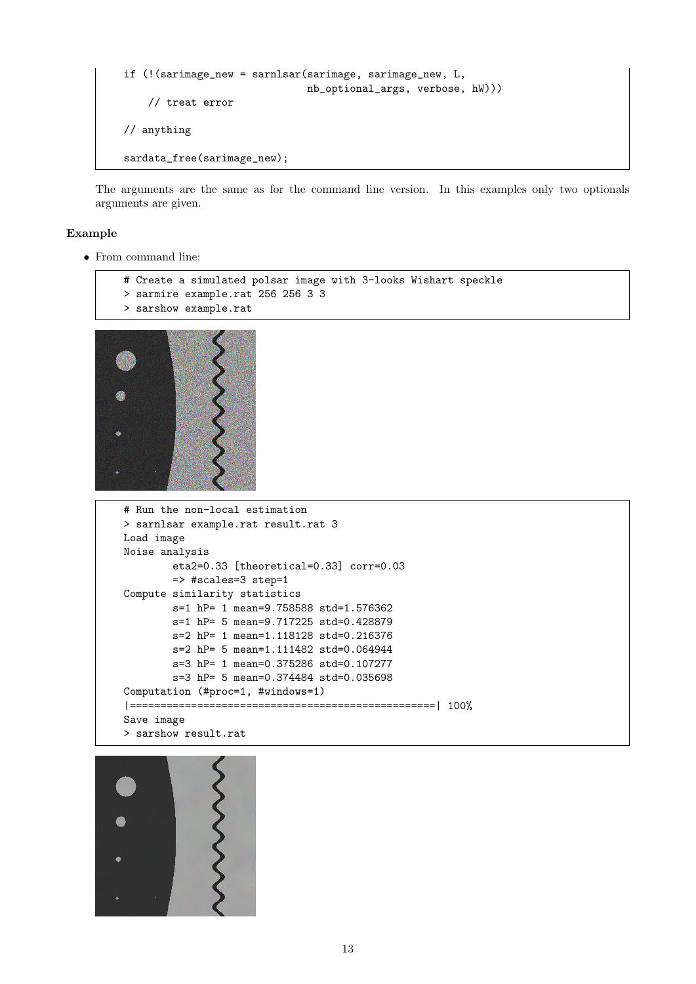```
if (!(sarimage_new = sarnlsar(sarimage, sarimage_new, L,
                             nb_optional_args, verbose, hW)))
    // treat error
// anything
sardata_free(sarimage_new);
```
The arguments are the same as for the command line version. In this examples only two optionals arguments are given.

#### Example

• From command line:

```
# Create a simulated polsar image with 3-looks Wishart speckle
> sarmire example.rat 256 256 3 3
> sarshow example.rat
```


```
# Run the non-local estimation
> sarnlsar example.rat result.rat 3
Load image
Noise analysis
        eta2=0.33 [theoretical=0.33] corr=0.03
       => #scales=3 step=1
Compute similarity statistics
        s=1 hP= 1 mean=9.758588 std=1.576362
        s=1 hP= 5 mean=9.717225 std=0.428879
        s=2 hP= 1 mean=1.118128 std=0.216376
        s=2 hP= 5 mean=1.111482 std=0.064944
        s=3 hP= 1 mean=0.375286 std=0.107277
        s=3 hP= 5 mean=0.374484 std=0.035698
Computation (#proc=1, #windows=1)
|==================================================| 100%
Save image
> sarshow result.rat
```
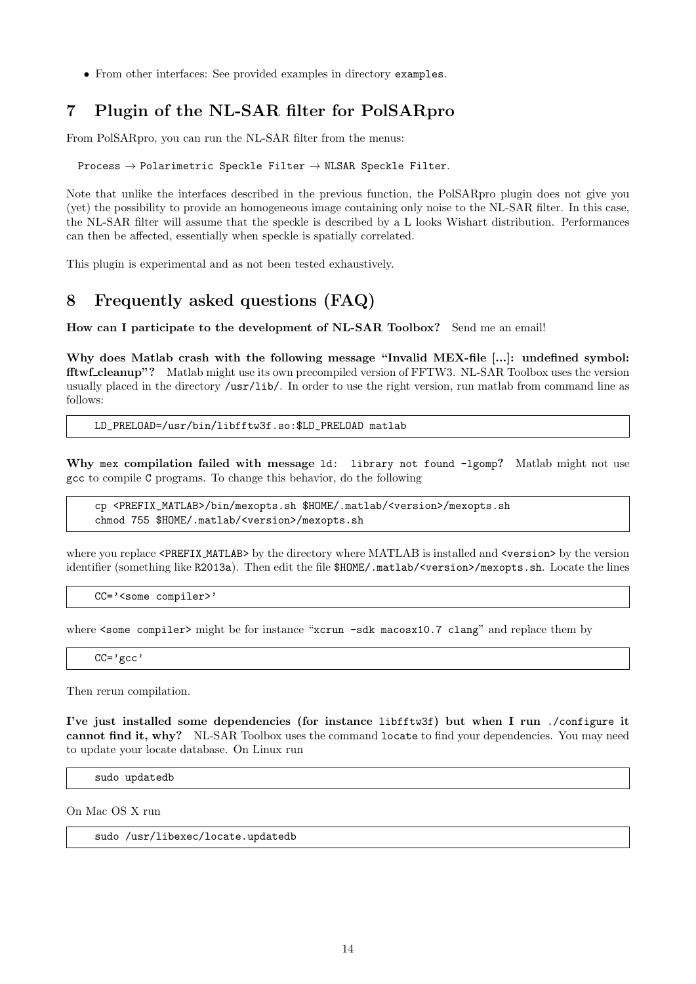• From other interfaces: See provided examples in directory examples.

# <span id="page-13-0"></span>7 Plugin of the NL-SAR filter for PolSARpro

From PolSARpro, you can run the NL-SAR filter from the menus:

Process  $\rightarrow$  Polarimetric Speckle Filter  $\rightarrow$  NLSAR Speckle Filter.

Note that unlike the interfaces described in the previous function, the PolSARpro plugin does not give you (yet) the possibility to provide an homogeneous image containing only noise to the NL-SAR filter. In this case, the NL-SAR filter will assume that the speckle is described by a L looks Wishart distribution. Performances can then be affected, essentially when speckle is spatially correlated.

This plugin is experimental and as not been tested exhaustively.

# <span id="page-13-1"></span>8 Frequently asked questions (FAQ)

How can I participate to the development of NL-SAR Toolbox? Send me an email!

Why does Matlab crash with the following message "Invalid MEX-file [...]: undefined symbol: fftwf cleanup"? Matlab might use its own precompiled version of FFTW3. NL-SAR Toolbox uses the version usually placed in the directory /usr/lib/. In order to use the right version, run matlab from command line as follows:

LD\_PRELOAD=/usr/bin/libfftw3f.so:\$LD\_PRELOAD matlab

Why mex compilation failed with message 1d: library not found -1gomp? Matlab might not use gcc to compile C programs. To change this behavior, do the following

cp <PREFIX\_MATLAB>/bin/mexopts.sh \$HOME/.matlab/<version>/mexopts.sh chmod 755 \$HOME/.matlab/<version>/mexopts.sh

where you replace <PREFIX\_MATLAB> by the directory where MATLAB is installed and <version> by the version identifier (something like R2013a). Then edit the file \$HOME/.matlab/<version>/mexopts.sh. Locate the lines

CC='<some compiler>'

where <some compiler> might be for instance "xcrun -sdk macosx10.7 clang" and replace them by

 $CC='gcc'$ 

Then rerun compilation.

I've just installed some dependencies (for instance libfftw3f) but when I run ./configure it cannot find it, why? NL-SAR Toolbox uses the command locate to find your dependencies. You may need to update your locate database. On Linux run

sudo updatedb

On Mac OS X run

sudo /usr/libexec/locate.updatedb